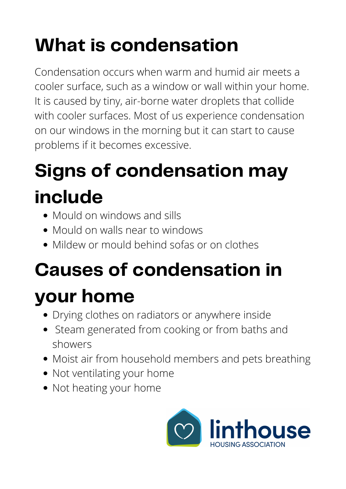## **Signs of condensation may include**

- Mould on windows and sills
- Mould on walls near to windows
- Mildew or mould behind sofas or on clothes

## **What is condensation**

- Drying clothes on radiators or anywhere inside
- Steam generated from cooking or from baths and showers
- Moist air from household members and pets breathing
- Not ventilating your home
- Not heating your home



Condensation occurs when warm and humid air meets a cooler surface, such as a window or wall within your home. It is caused by tiny, air-borne water droplets that collide with cooler surfaces. Most of us experience condensation on our windows in the morning but it can start to cause problems if it becomes excessive.

## **Causes of condensation in your home**